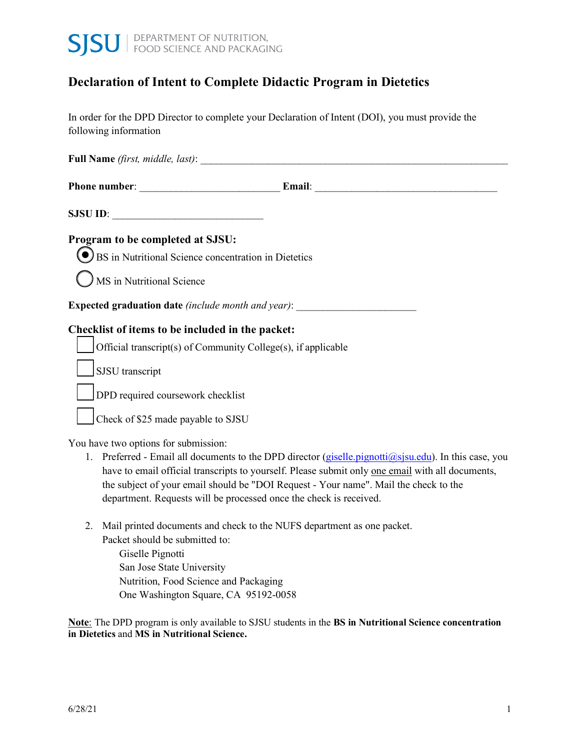

# **Declaration of Intent to Complete Didactic Program in Dietetics**

 In order for the DPD Director to complete your Declaration of Intent (DOI), you must provide the following information

 **Full Name** *(first, middle, last)*: \_\_\_\_\_\_\_\_\_\_\_\_\_\_\_\_\_\_\_\_\_\_\_\_\_\_\_\_\_\_\_\_\_\_\_\_\_\_\_\_\_\_\_\_\_\_\_\_\_\_\_\_\_\_\_\_\_\_\_

| <b>Phone number:</b> | ∆mail∵ |  |
|----------------------|--------|--|
|                      |        |  |

**SJSU ID:** 

#### **Program to be completed at SJSU:**

D BS in Nutritional Science concentration in Dietetics

D MS in Nutritional Science

**Expected graduation date** *(include month and year)*:

#### **Checklist of items to be included in the packet:**

 $\Box$  Official transcript(s) of Community College(s), if applicable

SJSU transcript

DPD required coursework checklist

D Check of \$25 made payable to SJSU

You have two options for submission:

- 1. Preferred Email all documents to the DPD director (giselle.pignotti@sjsu.edu). In this case, you have to email official transcripts to yourself. Please submit only one email with all documents, the subject of your email should be "DOI Request - Your name". Mail the check to the department. Requests will be processed once the check is received.
- 2. Mail printed documents and check to the NUFS department as one packet. Packet should be submitted to:

 Giselle Pignotti San Jose State University One Washington Square, CA 95192-0058 Nutrition, Food Science and Packaging

 **in Dietetics** and **MS in Nutritional Science. Note**: The DPD program is only available to SJSU students in the **BS in Nutritional Science concentration**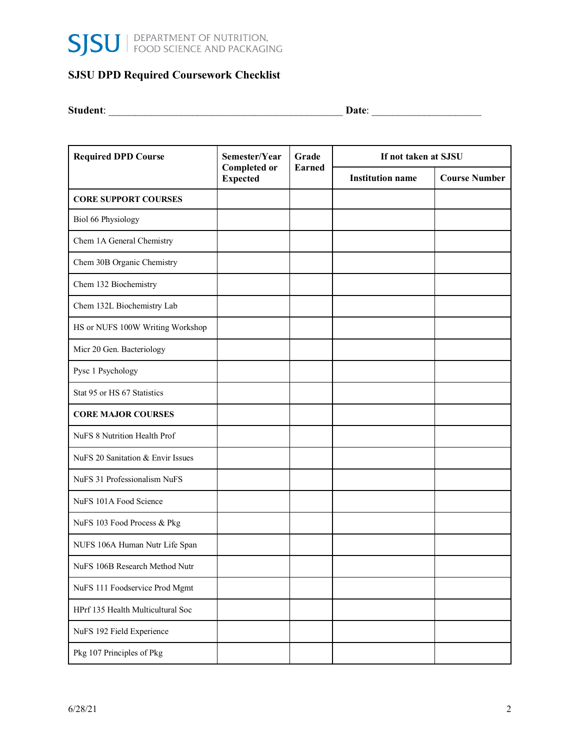

### **SJSU DPD Required Coursework Checklist**

**Student**: \_\_\_\_\_\_\_\_\_\_\_\_\_\_\_\_\_\_\_\_\_\_\_\_\_\_\_\_\_\_\_\_\_\_\_\_\_\_\_\_\_\_\_\_\_ **Date**: \_\_\_\_\_\_\_\_\_\_\_\_\_\_\_\_\_\_\_\_\_

| <b>Required DPD Course</b>        | Semester/Year<br><b>Completed or</b><br><b>Expected</b> | Grade<br><b>Earned</b> | If not taken at SJSU    |                      |  |
|-----------------------------------|---------------------------------------------------------|------------------------|-------------------------|----------------------|--|
|                                   |                                                         |                        | <b>Institution name</b> | <b>Course Number</b> |  |
| <b>CORE SUPPORT COURSES</b>       |                                                         |                        |                         |                      |  |
| Biol 66 Physiology                |                                                         |                        |                         |                      |  |
| Chem 1A General Chemistry         |                                                         |                        |                         |                      |  |
| Chem 30B Organic Chemistry        |                                                         |                        |                         |                      |  |
| Chem 132 Biochemistry             |                                                         |                        |                         |                      |  |
| Chem 132L Biochemistry Lab        |                                                         |                        |                         |                      |  |
| HS or NUFS 100W Writing Workshop  |                                                         |                        |                         |                      |  |
| Micr 20 Gen. Bacteriology         |                                                         |                        |                         |                      |  |
| Pysc 1 Psychology                 |                                                         |                        |                         |                      |  |
| Stat 95 or HS 67 Statistics       |                                                         |                        |                         |                      |  |
| <b>CORE MAJOR COURSES</b>         |                                                         |                        |                         |                      |  |
| NuFS 8 Nutrition Health Prof      |                                                         |                        |                         |                      |  |
| NuFS 20 Sanitation & Envir Issues |                                                         |                        |                         |                      |  |
| NuFS 31 Professionalism NuFS      |                                                         |                        |                         |                      |  |
| NuFS 101A Food Science            |                                                         |                        |                         |                      |  |
| NuFS 103 Food Process & Pkg       |                                                         |                        |                         |                      |  |
| NUFS 106A Human Nutr Life Span    |                                                         |                        |                         |                      |  |
| NuFS 106B Research Method Nutr    |                                                         |                        |                         |                      |  |
| NuFS 111 Foodservice Prod Mgmt    |                                                         |                        |                         |                      |  |
| HPrf 135 Health Multicultural Soc |                                                         |                        |                         |                      |  |
| NuFS 192 Field Experience         |                                                         |                        |                         |                      |  |
| Pkg 107 Principles of Pkg         |                                                         |                        |                         |                      |  |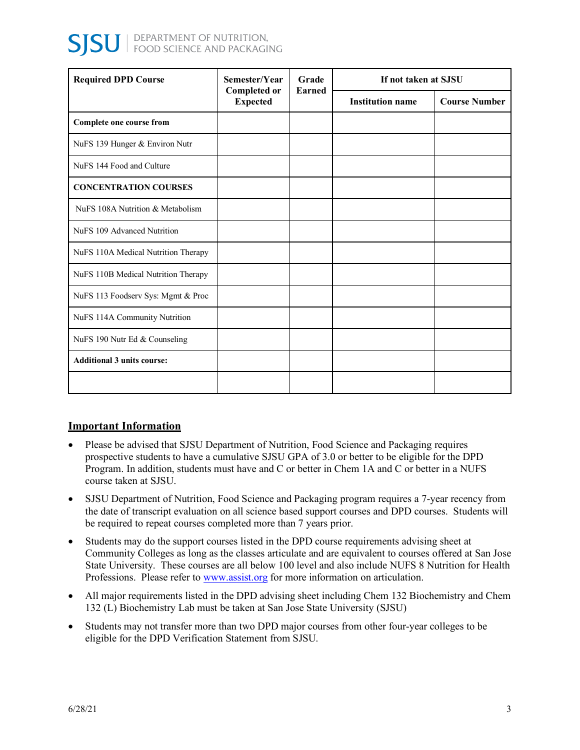| <b>Required DPD Course</b>          | Semester/Year<br><b>Completed or</b><br><b>Expected</b> | Grade<br><b>Earned</b> | If not taken at SJSU    |                      |
|-------------------------------------|---------------------------------------------------------|------------------------|-------------------------|----------------------|
|                                     |                                                         |                        | <b>Institution name</b> | <b>Course Number</b> |
| Complete one course from            |                                                         |                        |                         |                      |
| NuFS 139 Hunger & Environ Nutr      |                                                         |                        |                         |                      |
| NuFS 144 Food and Culture           |                                                         |                        |                         |                      |
| <b>CONCENTRATION COURSES</b>        |                                                         |                        |                         |                      |
| NuFS 108A Nutrition & Metabolism    |                                                         |                        |                         |                      |
| NuFS 109 Advanced Nutrition         |                                                         |                        |                         |                      |
| NuFS 110A Medical Nutrition Therapy |                                                         |                        |                         |                      |
| NuFS 110B Medical Nutrition Therapy |                                                         |                        |                         |                      |
| NuFS 113 Foodserv Sys: Mgmt & Proc  |                                                         |                        |                         |                      |
| NuFS 114A Community Nutrition       |                                                         |                        |                         |                      |
| NuFS 190 Nutr Ed & Counseling       |                                                         |                        |                         |                      |
| <b>Additional 3 units course:</b>   |                                                         |                        |                         |                      |
|                                     |                                                         |                        |                         |                      |

## **Important Information**

- • Please be advised that SJSU Department of Nutrition, Food Science and Packaging requires prospective students to have a cumulative SJSU GPA of 3.0 or better to be eligible for the DPD Program. In addition, students must have and C or better in Chem 1A and C or better in a NUFS course taken at SJSU.
- • SJSU Department of Nutrition, Food Science and Packaging program requires a 7-year recency from the date of transcript evaluation on all science based support courses and DPD courses. Students will be required to repeat courses completed more than 7 years prior.
- • Students may do the support courses listed in the DPD course requirements advising sheet at Community Colleges as long as the classes articulate and are equivalent to courses offered at San Jose State University. These courses are all below 100 level and also include NUFS 8 Nutrition for Health Professions. Please refer to www.assist.org for more information on articulation.
- • All major requirements listed in the DPD advising sheet including Chem 132 Biochemistry and Chem 132 (L) Biochemistry Lab must be taken at San Jose State University (SJSU)
- • Students may not transfer more than two DPD major courses from other four-year colleges to be eligible for the DPD Verification Statement from SJSU.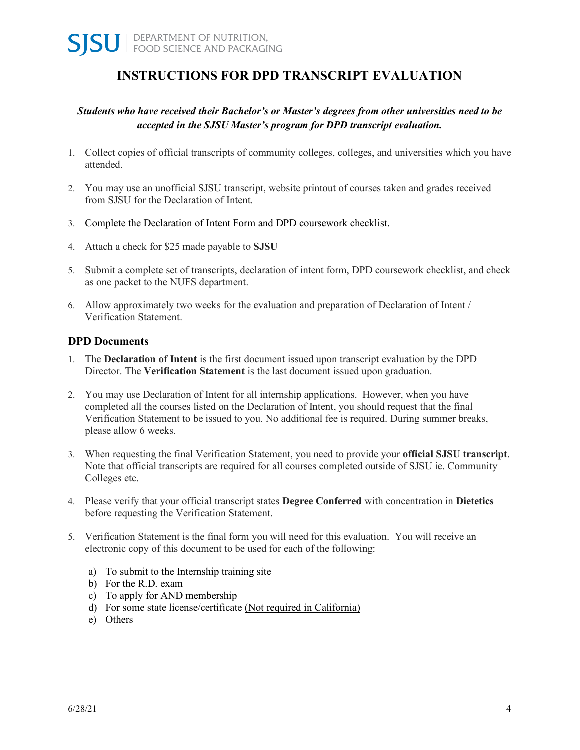# **INSTRUCTIONS FOR DPD TRANSCRIPT EVALUATION**

### *Students who have received their Bachelor's or Master's degrees from other universities need to be accepted in the SJSU Master's program for DPD transcript evaluation.*

- 1. Collect copies of official transcripts of community colleges, colleges, and universities which you have attended.
- 2. You may use an unofficial SJSU transcript, website printout of courses taken and grades received from SJSU for the Declaration of Intent.
- 3. Complete the Declaration of Intent Form and DPD coursework checklist.
- 4. Attach a check for \$25 made payable to **SJSU**
- 5. Submit a complete set of transcripts, declaration of intent form, DPD coursework checklist, and check as one packet to the NUFS department.
- 6. Allow approximately two weeks for the evaluation and preparation of Declaration of Intent / Verification Statement.

#### **DPD Documents**

- 1. The **Declaration of Intent** is the first document issued upon transcript evaluation by the DPD Director. The **Verification Statement** is the last document issued upon graduation.
- 2. You may use Declaration of Intent for all internship applications. However, when you have completed all the courses listed on the Declaration of Intent, you should request that the final Verification Statement to be issued to you. No additional fee is required. During summer breaks, please allow 6 weeks.
- 3. When requesting the final Verification Statement, you need to provide your **official SJSU transcript**. Note that official transcripts are required for all courses completed outside of SJSU ie. Community Colleges etc.
- 4. Please verify that your official transcript states **Degree Conferred** with concentration in **Dietetics** before requesting the Verification Statement.
- 5. Verification Statement is the final form you will need for this evaluation. You will receive an electronic copy of this document to be used for each of the following:
	- a) To submit to the Internship training site
	- b) For the R.D. exam
	- c) To apply for AND membership
	- d) For some state license/certificate (Not required in California)
	- e) Others